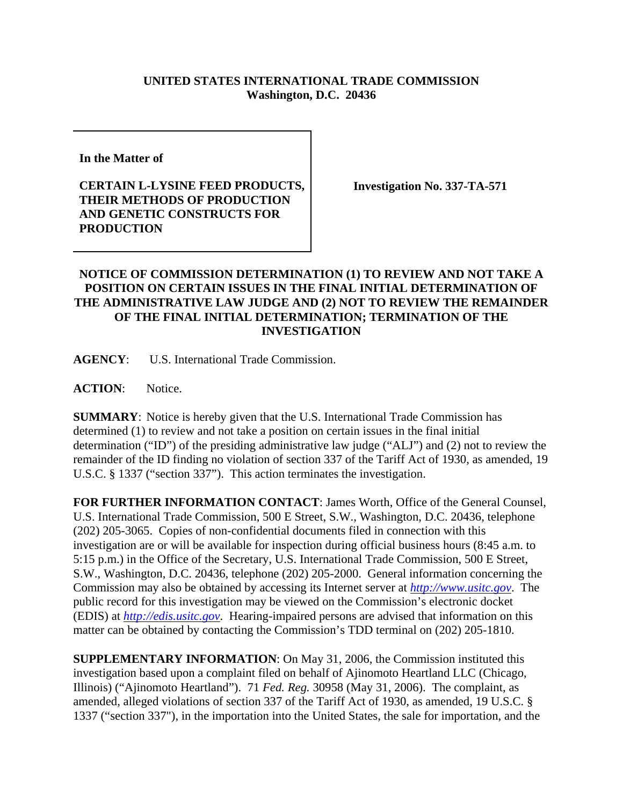## **UNITED STATES INTERNATIONAL TRADE COMMISSION Washington, D.C. 20436**

**In the Matter of** 

## **CERTAIN L-LYSINE FEED PRODUCTS, THEIR METHODS OF PRODUCTION AND GENETIC CONSTRUCTS FOR PRODUCTION**

**Investigation No. 337-TA-571**

## **NOTICE OF COMMISSION DETERMINATION (1) TO REVIEW AND NOT TAKE A POSITION ON CERTAIN ISSUES IN THE FINAL INITIAL DETERMINATION OF THE ADMINISTRATIVE LAW JUDGE AND (2) NOT TO REVIEW THE REMAINDER OF THE FINAL INITIAL DETERMINATION; TERMINATION OF THE INVESTIGATION**

**AGENCY**: U.S. International Trade Commission.

ACTION: Notice.

**SUMMARY**: Notice is hereby given that the U.S. International Trade Commission has determined (1) to review and not take a position on certain issues in the final initial determination ("ID") of the presiding administrative law judge ("ALJ") and (2) not to review the remainder of the ID finding no violation of section 337 of the Tariff Act of 1930, as amended, 19 U.S.C. § 1337 ("section 337"). This action terminates the investigation.

**FOR FURTHER INFORMATION CONTACT**: James Worth, Office of the General Counsel, U.S. International Trade Commission, 500 E Street, S.W., Washington, D.C. 20436, telephone (202) 205-3065. Copies of non-confidential documents filed in connection with this investigation are or will be available for inspection during official business hours (8:45 a.m. to 5:15 p.m.) in the Office of the Secretary, U.S. International Trade Commission, 500 E Street, S.W., Washington, D.C. 20436, telephone (202) 205-2000. General information concerning the Commission may also be obtained by accessing its Internet server at *http://www.usitc.gov*. The public record for this investigation may be viewed on the Commission's electronic docket (EDIS) at *http://edis.usitc.gov*. Hearing-impaired persons are advised that information on this matter can be obtained by contacting the Commission's TDD terminal on (202) 205-1810.

**SUPPLEMENTARY INFORMATION**: On May 31, 2006, the Commission instituted this investigation based upon a complaint filed on behalf of Ajinomoto Heartland LLC (Chicago, Illinois) ("Ajinomoto Heartland"). 71 *Fed. Reg.* 30958 (May 31, 2006). The complaint, as amended, alleged violations of section 337 of the Tariff Act of 1930, as amended, 19 U.S.C. § 1337 ("section 337"), in the importation into the United States, the sale for importation, and the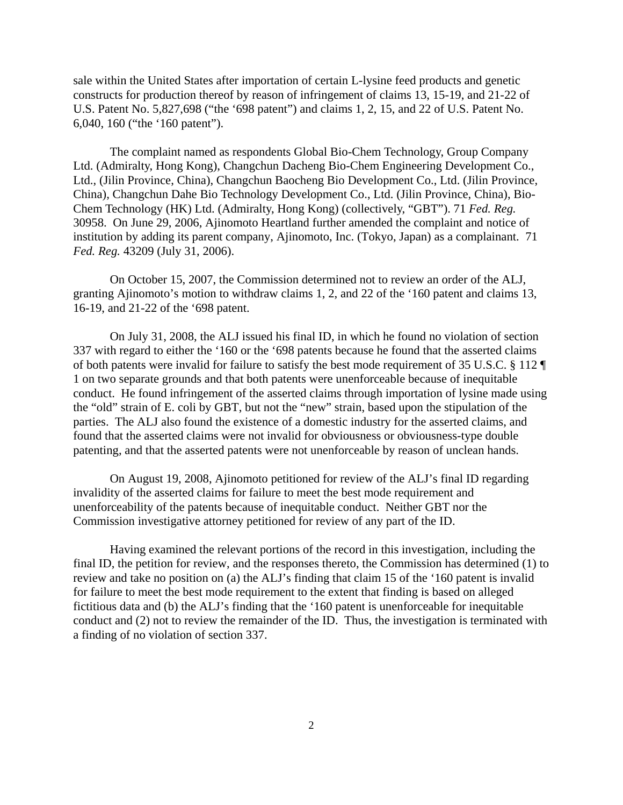sale within the United States after importation of certain L-lysine feed products and genetic constructs for production thereof by reason of infringement of claims 13, 15-19, and 21-22 of U.S. Patent No. 5,827,698 ("the '698 patent") and claims 1, 2, 15, and 22 of U.S. Patent No. 6,040, 160 ("the '160 patent").

The complaint named as respondents Global Bio-Chem Technology, Group Company Ltd. (Admiralty, Hong Kong), Changchun Dacheng Bio-Chem Engineering Development Co., Ltd., (Jilin Province, China), Changchun Baocheng Bio Development Co., Ltd. (Jilin Province, China), Changchun Dahe Bio Technology Development Co., Ltd. (Jilin Province, China), Bio-Chem Technology (HK) Ltd. (Admiralty, Hong Kong) (collectively, "GBT"). 71 *Fed. Reg.* 30958. On June 29, 2006, Ajinomoto Heartland further amended the complaint and notice of institution by adding its parent company, Ajinomoto, Inc. (Tokyo, Japan) as a complainant. 71 *Fed. Reg.* 43209 (July 31, 2006).

On October 15, 2007, the Commission determined not to review an order of the ALJ, granting Ajinomoto's motion to withdraw claims 1, 2, and 22 of the '160 patent and claims 13, 16-19, and 21-22 of the '698 patent.

On July 31, 2008, the ALJ issued his final ID, in which he found no violation of section 337 with regard to either the '160 or the '698 patents because he found that the asserted claims of both patents were invalid for failure to satisfy the best mode requirement of 35 U.S.C. § 112 ¶ 1 on two separate grounds and that both patents were unenforceable because of inequitable conduct. He found infringement of the asserted claims through importation of lysine made using the "old" strain of E. coli by GBT, but not the "new" strain, based upon the stipulation of the parties. The ALJ also found the existence of a domestic industry for the asserted claims, and found that the asserted claims were not invalid for obviousness or obviousness-type double patenting, and that the asserted patents were not unenforceable by reason of unclean hands.

On August 19, 2008, Ajinomoto petitioned for review of the ALJ's final ID regarding invalidity of the asserted claims for failure to meet the best mode requirement and unenforceability of the patents because of inequitable conduct. Neither GBT nor the Commission investigative attorney petitioned for review of any part of the ID.

Having examined the relevant portions of the record in this investigation, including the final ID, the petition for review, and the responses thereto, the Commission has determined (1) to review and take no position on (a) the ALJ's finding that claim 15 of the '160 patent is invalid for failure to meet the best mode requirement to the extent that finding is based on alleged fictitious data and (b) the ALJ's finding that the '160 patent is unenforceable for inequitable conduct and (2) not to review the remainder of the ID. Thus, the investigation is terminated with a finding of no violation of section 337.